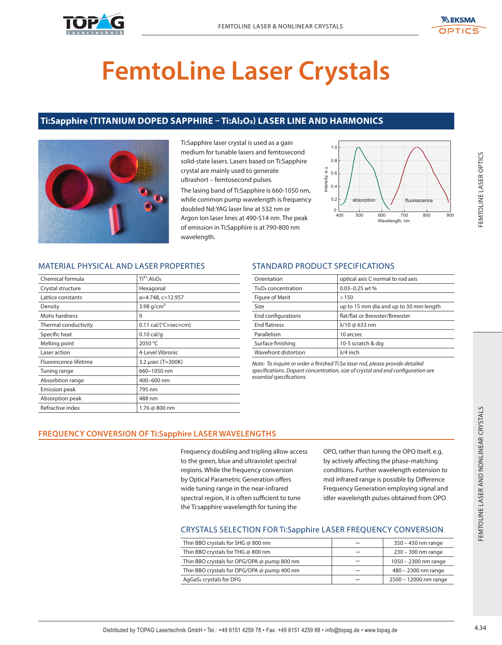



# **FemtoLine Laser Crystals**

# **Ti:Sapphire (TITANIUM DOPED SAPPHIRE – Ti:Al2O3) LASER LINE AND HARMONICS**



Ti:Sapphire laser crystal is used as a gain medium for tunable lasers and femtosecond solid-state lasers. Lasers based on Ti:Sapphire crystal are mainly used to generate ultrashort – femtosecond pulses. The lasing band of Ti:Sapphire is 660-1050 nm, while common pump wavelength is frequency doubled Nd:YAG laser line at 532 nm or Argon Ion laser lines at 490-514 nm. The peak of emission in Ti:Sapphire is at 790-800 nm wavelength.



# MATERIAL PHYSICAL AND LASER PROPERTIES

|                                                          | crystal are mainly used to generate<br>ultrashort - femtosecond pulses.<br>wavelength. | The lasing band of Ti:Sapphire is 660-1050 nm,<br>while common pump wavelength is frequency<br>doubled Nd:YAG laser line at 532 nm or<br>Argon Ion laser lines at 490-514 nm. The peak<br>of emission in Ti:Sapphire is at 790-800 nm                                                                                       | Intensity, a.u.<br>0.6<br>0.4<br>0.2<br>absorption<br>$\Omega$<br>400<br>500 | fluorescence<br>600<br>700<br>800<br>900<br>Wavelength, nm                                                                                                                                                                                                                         |
|----------------------------------------------------------|----------------------------------------------------------------------------------------|-----------------------------------------------------------------------------------------------------------------------------------------------------------------------------------------------------------------------------------------------------------------------------------------------------------------------------|------------------------------------------------------------------------------|------------------------------------------------------------------------------------------------------------------------------------------------------------------------------------------------------------------------------------------------------------------------------------|
|                                                          | <b>MATERIAL PHYSICAL AND LASER PROPERTIES</b>                                          | <b>STANDARD PRODUCT SPECIFICATIONS</b>                                                                                                                                                                                                                                                                                      |                                                                              |                                                                                                                                                                                                                                                                                    |
| Chemical formula                                         | $Ti3+:Al2O3$                                                                           | Orientation                                                                                                                                                                                                                                                                                                                 |                                                                              | optical axis C normal to rod axis                                                                                                                                                                                                                                                  |
| Crystal structure                                        | Hexagonal                                                                              | Ti <sub>2</sub> O <sub>3</sub> concentration                                                                                                                                                                                                                                                                                | 0.03-0.25 wt %                                                               |                                                                                                                                                                                                                                                                                    |
| Lattice constants                                        | a=4.748, c=12.957                                                                      | Figure of Merit                                                                                                                                                                                                                                                                                                             | >150                                                                         |                                                                                                                                                                                                                                                                                    |
| Density<br>Mohs hardness                                 | 3.98 $g/cm3$<br>9                                                                      | Size                                                                                                                                                                                                                                                                                                                        | flat/flat or Brewster/Brewster                                               | up to 15 mm dia and up to 30 mm length                                                                                                                                                                                                                                             |
| Thermal conductivity                                     | 0.11 cal/(°Cxsecxcm)                                                                   | End configurations<br><b>End flatness</b>                                                                                                                                                                                                                                                                                   | $\lambda$ /10 @ 633 nm                                                       |                                                                                                                                                                                                                                                                                    |
| Specific heat                                            | $0.10$ cal/g                                                                           | Parallelism                                                                                                                                                                                                                                                                                                                 | 10 arcsec                                                                    |                                                                                                                                                                                                                                                                                    |
| Melting point                                            | 2050 °C                                                                                | Surface finishing                                                                                                                                                                                                                                                                                                           | 10-5 scratch & dig                                                           |                                                                                                                                                                                                                                                                                    |
| Laser action                                             | 4-Level Vibronic                                                                       | Wavefront distortion                                                                                                                                                                                                                                                                                                        | $\lambda$ /4 inch                                                            |                                                                                                                                                                                                                                                                                    |
| Fluorescence lifetime                                    | 3.2 µsec (T=300K)                                                                      |                                                                                                                                                                                                                                                                                                                             |                                                                              |                                                                                                                                                                                                                                                                                    |
|                                                          |                                                                                        | Note: To inquire or order a finished Ti:Sa laser rod, please provide detailed                                                                                                                                                                                                                                               |                                                                              |                                                                                                                                                                                                                                                                                    |
|                                                          |                                                                                        |                                                                                                                                                                                                                                                                                                                             |                                                                              |                                                                                                                                                                                                                                                                                    |
|                                                          | 660-1050 nm                                                                            | specifications. Dopant concentration, size of crystal and end configuration are<br>essential specifications.                                                                                                                                                                                                                |                                                                              |                                                                                                                                                                                                                                                                                    |
|                                                          | 400-600 nm                                                                             |                                                                                                                                                                                                                                                                                                                             |                                                                              |                                                                                                                                                                                                                                                                                    |
| Tuning range<br>Absorbtion range<br><b>Emission peak</b> | 795 nm                                                                                 |                                                                                                                                                                                                                                                                                                                             |                                                                              |                                                                                                                                                                                                                                                                                    |
|                                                          | 488 nm<br>1.76 @ 800 nm                                                                |                                                                                                                                                                                                                                                                                                                             |                                                                              |                                                                                                                                                                                                                                                                                    |
| Absorption peak<br>Refractive index                      | <b>FREQUENCY CONVERSION OF Ti:Sapphire LASER WAVELENGTHS</b>                           | Frequency doubling and tripling allow access<br>to the green, blue and ultraviolet spectral<br>regions. While the frequency conversion<br>by Optical Parametric Generation offers<br>wide tuning range in the near-infrared<br>spectral region, it is often sufficient to tune<br>the Ti:sapphire wavelength for tuning the |                                                                              | OPO, rather than tuning the OPO itself, e.g.<br>by actively affecting the phase-matching<br>conditions. Further wavelength extension to<br>mid infrared range is possible by Difference<br>Frequency Generation employing signal and<br>idler wavelength pulses obtained from OPO. |
|                                                          |                                                                                        | <b>CRYSTALS SELECTION FOR Ti:Sapphire LASER FREQUENCY CONVERSION</b>                                                                                                                                                                                                                                                        |                                                                              |                                                                                                                                                                                                                                                                                    |
|                                                          | Thin BBO crystals for SHG @ 800 nm                                                     |                                                                                                                                                                                                                                                                                                                             | $\longrightarrow$                                                            | 350 - 450 nm range                                                                                                                                                                                                                                                                 |
|                                                          | Thin BBO crystals for THG @ 800 nm                                                     |                                                                                                                                                                                                                                                                                                                             | $\rightarrow$                                                                | 230 - 300 nm range                                                                                                                                                                                                                                                                 |
|                                                          |                                                                                        | Thin BBO crystals for OPG/OPA @ pump 800 nm                                                                                                                                                                                                                                                                                 | $\rightarrow$                                                                | 1050 - 2300 nm range                                                                                                                                                                                                                                                               |
|                                                          | AgGaS2 crystals for DFG                                                                | Thin BBO crystals for OPG/OPA @ pump 400 nm                                                                                                                                                                                                                                                                                 | $\rightarrow$<br>$\rightarrow$                                               | 480 - 2300 nm range<br>2500 - 12000 nm range                                                                                                                                                                                                                                       |

# STANDARD PRODUCT SPECIFICATIONS

| Orientation                                  | optical axis C normal to rod axis      |
|----------------------------------------------|----------------------------------------|
| Ti <sub>2</sub> O <sub>3</sub> concentration | $0.03 - 0.25$ wt %                     |
| Figure of Merit                              | >150                                   |
| Size                                         | up to 15 mm dia and up to 30 mm length |
| End configurations                           | flat/flat or Brewster/Brewster         |
| <b>End flatness</b>                          | $\lambda$ /10 @ 633 nm                 |
| Parallelism                                  | 10 arcsec                              |
| Surface finishing                            | 10-5 scratch & dig                     |
| Wavefront distortion                         | $\lambda$ /4 inch                      |
|                                              |                                        |

# **FREQUENCY CONVERSION OF Ti:Sapphire LASER WAVELENGTHS**

# CRYSTALS SELECTION FOR Ti:Sapphire LASER FREQUENCY CONVERSION

| Thin BBO crystals for SHG @ 800 nm          | $\rightarrow$ | 350 - 450 nm range    |
|---------------------------------------------|---------------|-----------------------|
| Thin BBO crystals for THG @ 800 nm          | $\rightarrow$ | $230 - 300$ nm range  |
| Thin BBO crystals for OPG/OPA @ pump 800 nm | $\rightarrow$ | 1050 - 2300 nm range  |
| Thin BBO crystals for OPG/OPA @ pump 400 nm | $\rightarrow$ | 480 - 2300 nm range   |
| AgGaS <sub>2</sub> crystals for DFG         | $\rightarrow$ | 2500 - 12000 nm range |
|                                             |               |                       |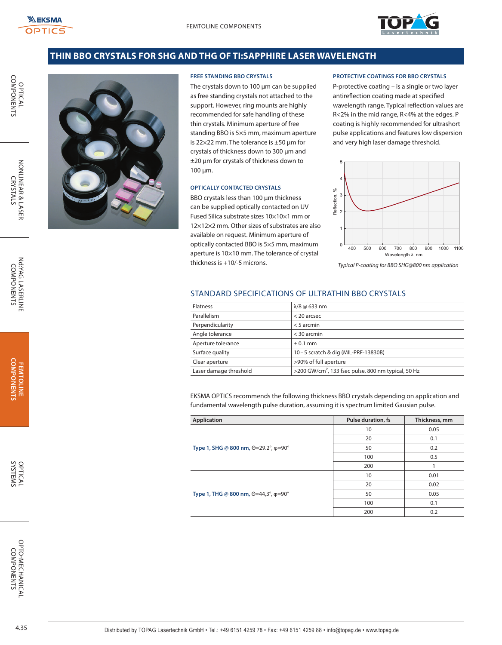OPTICAL<br>COMPONENTS

NONLINEAR & LASEF **CRYSTALS** 



# **THIN BBO CRYSTALS FOR SHG AND THG OF TI:SAPPHIRE LASER WAVELENGTH**



#### **FREE STANDING BBO CRYSTALS**

The crystals down to 100 µm can be supplied as free standing crystals not attached to the support. However, ring mounts are highly recommended for safe handling of these thin crystals. Minimum aperture of free standing BBO is 5×5 mm, maximum aperture is 22×22 mm. The tolerance is ±50 µm for crystals of thickness down to 300 µm and ±20 µm for crystals of thickness down to 100 µm.

# **OPTICALLY CONTACTED CRYSTALS**

BBO crystals less than 100 µm thickness can be supplied optically contacted on UV Fused Silica substrate sizes 10×10×1 mm or 12×12×2 mm. Other sizes of substrates are also available on request. Minimum aperture of optically contacted BBO is 5×5 mm, maximum aperture is 10×10 mm. The tolerance of crystal thickness is +10/-5 microns.

#### **PROTECTIVE COATINGS FOR BBO CRYSTALS**

P-protective coating – is a single or two layer antireflection coating made at specified wavelength range. Typical reflection values are R<2% in the mid range, R<4% at the edges. P coating is highly recommended for ultrashort pulse applications and features low dispersion and very high laser damage threshold.



Typical P-coating for BBO SHG@800 nm application

# STANDARD SPECIFICATIONS OF ULTRATHIN BBO CRYSTALS

| $\lambda$ /8 @ 633 nm                                              |
|--------------------------------------------------------------------|
| $<$ 20 arcsec                                                      |
| $< 5$ arcmin                                                       |
| $<$ 30 arcmin                                                      |
| $± 0.1$ mm                                                         |
| 10-5 scratch & dig (MIL-PRF-13830B)                                |
| >90% of full aperture                                              |
| $>$ 200 GW/cm <sup>2</sup> , 133 fsec pulse, 800 nm typical, 50 Hz |
|                                                                    |

EKSMA OPTICS recommends the following thickness BBO crystals depending on application and fundamental wavelength pulse duration, assuming it is spectrum limited Gausian pulse.

| Application                                        | Pulse duration, fs | Thickness, mm |
|----------------------------------------------------|--------------------|---------------|
|                                                    | 10                 | 0.05          |
|                                                    | 20                 | 0.1           |
| Type 1, SHG @ 800 nm, Θ=29.2°, φ=90°               | 50                 | 0.2           |
|                                                    | 100                | 0.5           |
|                                                    | 200                |               |
|                                                    | 10                 | 0.01          |
|                                                    | 20                 | 0.02          |
| Type 1, THG @ 800 nm, $\Theta$ =44,3°, $\phi$ =90° | 50                 | 0.05          |
|                                                    | 100                | 0.1           |
|                                                    | 200                | 0.2           |

Nd:YAG LASERLINE<br>COMPONENTS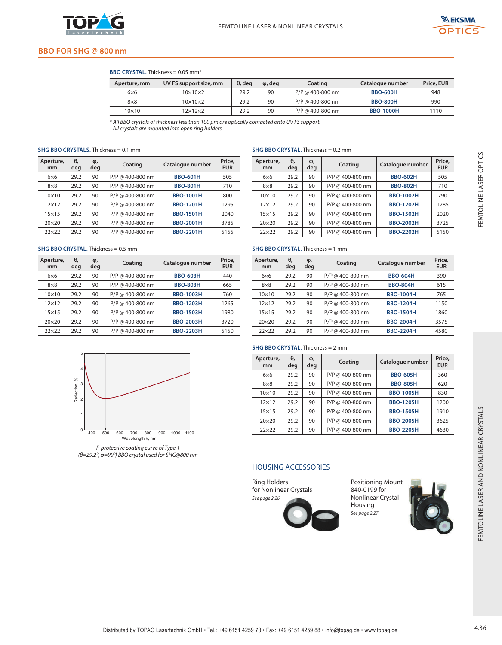

Ī  $\overline{a}$  $\overline{a}$ 



# **BBO FOR SHG @ 800 nm**

## **BBO CRYSTAL.** Thickness = 0.05 mm\*

| Aperture, mm | UV FS support size, mm | $\theta$ , deg | φ, deg | Coating            | Catalogue number | Price, EUR |
|--------------|------------------------|----------------|--------|--------------------|------------------|------------|
| $6\times 6$  | $10\times10\times2$    | 29.2           | 90     | $P/P$ @ 400-800 nm | <b>BBO-600H</b>  | 948        |
| $8\times8$   | $10\times10\times2$    | 29.2           | 90     | $P/P$ @ 400-800 nm | <b>BBO-800H</b>  | 990        |
| 10×10        | 12×12×2                | 29.2           | 90     | $P/P$ @ 400-800 nm | <b>BBO-1000H</b> | 1110       |

\* All BBO crystals of thickness less than 100 μm are optically contacted onto UV FS support.

All crystals are mounted into open ring holders.

#### **SHG BBO CRYSTALS.** Thickness = 0.1 mm

| Aperture,<br>mm | θ.<br>deg | φ,<br>deg | Coating            | Catalogue number | Price.<br><b>EUR</b> |
|-----------------|-----------|-----------|--------------------|------------------|----------------------|
| 6x6             | 29.2      | 90        | $P/P$ @ 400-800 nm | <b>BBO-601H</b>  | 505                  |
| $8\times8$      | 29.2      | 90        | $P/P$ @ 400-800 nm | <b>BBO-801H</b>  | 710                  |
| $10\times10$    | 29.2      | 90        | $P/P$ @ 400-800 nm | <b>BBO-1001H</b> | 800                  |
| $12\times12$    | 29.2      | 90        | $P/P$ @ 400-800 nm | <b>BBO-1201H</b> | 1295                 |
| $15\times15$    | 29.2      | 90        | $P/P$ @ 400-800 nm | <b>BBO-1501H</b> | 2040                 |
| $20\times20$    | 29.2      | 90        | $P/P$ @ 400-800 nm | <b>BBO-2001H</b> | 3785                 |
| $22\times22$    | 29.2      | 90        | $P/P$ @ 400-800 nm | <b>BBO-2201H</b> | 5155                 |

| $kness = 0.1$ mm                                       |                                       | Price,               | SHG BBO CRYSTAL. Thickness = 0.2 mm<br>Aperture, | θ,        | φ,        |                                               |                          | Price,               |
|--------------------------------------------------------|---------------------------------------|----------------------|--------------------------------------------------|-----------|-----------|-----------------------------------------------|--------------------------|----------------------|
| Coating                                                | Catalogue number                      | <b>EUR</b>           | mm                                               | deg       | deg       | Coating                                       | Catalogue number         | <b>EUR</b>           |
| P/P @ 400-800 nm                                       | <b>BBO-601H</b>                       | 505                  | $6\times 6$                                      | 29.2      | 90        | P/P @ 400-800 nm                              | <b>BBO-602H</b>          | 505                  |
| P/P @ 400-800 nm                                       | <b>BBO-801H</b>                       | 710                  | $8\times8$                                       | 29.2      | 90        | P/P @ 400-800 nm                              | <b>BBO-802H</b>          | 710                  |
| P/P @ 400-800 nm                                       | <b>BBO-1001H</b>                      | 800                  | 10×10                                            | 29.2      | 90        | P/P @ 400-800 nm                              | <b>BBO-1002H</b>         | 790                  |
| P/P @ 400-800 nm                                       | <b>BBO-1201H</b>                      | 1295                 | $12\times12$                                     | 29.2      | 90        | P/P @ 400-800 nm                              | <b>BBO-1202H</b>         | 1285                 |
| P/P @ 400-800 nm                                       | <b>BBO-1501H</b>                      | 2040                 | $15\times15$                                     | 29.2      | 90        | P/P @ 400-800 nm                              | <b>BBO-1502H</b>         | 2020                 |
| P/P @ 400-800 nm                                       | <b>BBO-2001H</b>                      | 3785                 | 20×20                                            | 29.2      | 90        | P/P @ 400-800 nm                              | <b>BBO-2002H</b>         | 3725                 |
| P/P @ 400-800 nm                                       | <b>BBO-2201H</b>                      | 5155                 | 22×22                                            | 29.2      | 90        | P/P @ 400-800 nm                              | <b>BBO-2202H</b>         | 5150                 |
| าess = 0.5 mm                                          |                                       |                      | SHG BBO CRYSTAL. Thickness = 1 mm                |           |           |                                               |                          |                      |
| Coating                                                | Catalogue number                      | Price,<br><b>EUR</b> | Aperture,<br>mm                                  | θ,<br>deg | φ,<br>deg | Coating                                       | Catalogue number         | Price,<br><b>EUR</b> |
| P/P @ 400-800 nm                                       | <b>BBO-603H</b>                       | 440                  | $6\times 6$                                      | 29.2      | 90        | P/P @ 400-800 nm                              | <b>BBO-604H</b>          | 390                  |
| P/P @ 400-800 nm                                       | <b>BBO-803H</b>                       | 665                  | $8\times8$                                       | 29.2      | 90        | P/P @ 400-800 nm                              | <b>BBO-804H</b>          | 615                  |
| P/P @ 400-800 nm                                       | <b>BBO-1003H</b>                      | 760                  | $10\times10$                                     | 29.2      | 90        | P/P @ 400-800 nm                              | <b>BBO-1004H</b>         | 765                  |
| P/P @ 400-800 nm                                       | <b>BBO-1203H</b>                      | 1265                 | $12\times12$                                     | 29.2      | 90        | P/P @ 400-800 nm                              | <b>BBO-1204H</b>         | 1150                 |
| P/P @ 400-800 nm                                       | <b>BBO-1503H</b>                      | 1980                 | $15\times15$                                     | 29.2      | 90        | P/P @ 400-800 nm                              | <b>BBO-1504H</b>         | 1860                 |
| P/P @ 400-800 nm                                       | <b>BBO-2003H</b>                      | 3720                 | 20×20                                            | 29.2      | 90        | P/P @ 400-800 nm                              | <b>BBO-2004H</b>         | 3575                 |
| P/P @ 400-800 nm                                       | <b>BBO-2203H</b>                      | 5150                 | 22×22                                            | 29.2      | 90        | P/P @ 400-800 nm                              | <b>BBO-2204H</b>         | 4580                 |
|                                                        |                                       |                      | SHG BBO CRYSTAL. Thickness = 2 mm                |           |           |                                               |                          |                      |
|                                                        |                                       |                      | Aperture,<br>mm                                  | θ,<br>deg | φ,<br>deg | Coating                                       | Catalogue number         | Price,<br><b>EUR</b> |
|                                                        |                                       |                      | $6\times 6$                                      | 29.2      | 90        | P/P @ 400-800 nm                              | <b>BBO-605H</b>          | 360                  |
|                                                        |                                       |                      | $8\times8$                                       | 29.2      | 90        | P/P @ 400-800 nm                              | <b>BBO-805H</b>          | 620                  |
|                                                        |                                       |                      | $10\times10$                                     | 29.2      | 90        | P/P @ 400-800 nm                              | <b>BBO-1005H</b>         | 830                  |
|                                                        |                                       |                      | $12\times12$                                     | 29.2      | 90        | P/P @ 400-800 nm                              | <b>BBO-1205H</b>         | 1200                 |
|                                                        |                                       |                      | $15\times15$                                     | 29.2      | 90        | P/P @ 400-800 nm                              | <b>BBO-1505H</b>         | 1910                 |
|                                                        |                                       |                      | 20×20                                            | 29.2      | 90        | P/P @ 400-800 nm                              | <b>BBO-2005H</b>         | 3625                 |
| 600<br>700<br>800                                      | 900<br>1000<br>1100                   |                      | 22×22                                            | 29.2      | 90        | P/P @ 400-800 nm                              | <b>BBO-2205H</b>         | 4630                 |
| Wavelength λ, nm<br>protective coating curve of Type 1 | =90°) BBO crystal used for SHG@800 nm |                      | <b>HOUSING ACCESSORIES</b>                       |           |           |                                               |                          |                      |
|                                                        |                                       |                      | <b>Ring Holders</b><br>for Nonlinear Crystals    |           |           | 840-0199 for                                  | <b>Positioning Mount</b> |                      |
|                                                        |                                       |                      | See page 2.26                                    |           |           | Nonlinear Crystal<br>Housing<br>See page 2.27 |                          |                      |

#### **SHG BBO CRYSTAL.** Thickness = 0.5 mm

| Aperture,<br>mm | θ.<br>deg | φ,<br>deg | Coating            | Catalogue number | Price,<br><b>EUR</b> |
|-----------------|-----------|-----------|--------------------|------------------|----------------------|
| 6x6             | 29.2      | 90        | P/P @ 400-800 nm   | <b>BBO-603H</b>  | 440                  |
| $8\times8$      | 29.2      | 90        | $P/P$ @ 400-800 nm | <b>BBO-803H</b>  | 665                  |
| $10\times10$    | 29.2      | 90        | $P/P$ @ 400-800 nm | <b>BBO-1003H</b> | 760                  |
| $12\times12$    | 29.2      | 90        | P/P @ 400-800 nm   | <b>BBO-1203H</b> | 1265                 |
| $15\times15$    | 29.2      | 90        | $P/P$ @ 400-800 nm | <b>BBO-1503H</b> | 1980                 |
| $20\times20$    | 29.2      | 90        | $P/P$ @ 400-800 nm | <b>BBO-2003H</b> | 3720                 |
| $22\times22$    | 29.2      | 90        | $P/P$ @ 400-800 nm | <b>BBO-2203H</b> | 5150                 |



P-protective coating curve of Type 1 (θ=29.2°, φ=90°) BBO crystal used for SHG@800 nm

#### **SHG BBO CRYSTAL.** Thickness = 1 mm

| Aperture,<br>mm | θ.<br>deg | φ,<br>deg | Coating            | Catalogue number | Price,<br><b>EUR</b> |
|-----------------|-----------|-----------|--------------------|------------------|----------------------|
| 6x6             | 29.2      | 90        | $P/P$ @ 400-800 nm | <b>BBO-604H</b>  | 390                  |
| $8\times8$      | 29.2      | 90        | $P/P$ @ 400-800 nm | <b>BBO-804H</b>  | 615                  |
| $10\times10$    | 29.2      | 90        | $P/P$ @ 400-800 nm | <b>BBO-1004H</b> | 765                  |
| $12\times12$    | 29.2      | 90        | $P/P$ @ 400-800 nm | <b>BBO-1204H</b> | 1150                 |
| $15\times15$    | 29.2      | 90        | $P/P$ @ 400-800 nm | <b>BBO-1504H</b> | 1860                 |
| $20\times20$    | 29.2      | 90        | $P/P$ @ 400-800 nm | <b>BBO-2004H</b> | 3575                 |
| $22\times22$    | 29.2      | 90        | $P/P$ @ 400-800 nm | <b>BBO-2204H</b> | 4580                 |

# **SHG BBO CRYSTAL.** Thickness = 2 mm

| Aperture,<br>mm | θ.<br>deg | φ,<br>deg | Coating            | Catalogue number | Price,<br><b>EUR</b> |
|-----------------|-----------|-----------|--------------------|------------------|----------------------|
| 6x6             | 29.2      | 90        | P/P @ 400-800 nm   | <b>BBO-605H</b>  | 360                  |
| $8\times8$      | 29.2      | 90        | P/P @ 400-800 nm   | <b>BBO-805H</b>  | 620                  |
| $10\times10$    | 29.2      | 90        | P/P @ 400-800 nm   | <b>BBO-1005H</b> | 830                  |
| $12\times12$    | 29.2      | 90        | $P/P$ @ 400-800 nm | <b>BBO-1205H</b> | 1200                 |
| $15\times15$    | 29.2      | 90        | $P/P$ @ 400-800 nm | <b>BBO-1505H</b> | 1910                 |
| $20\times20$    | 29.2      | 90        | $P/P$ @ 400-800 nm | <b>BBO-2005H</b> | 3625                 |
| $22\times22$    | 29.2      | 90        | $P/P$ @ 400-800 nm | <b>BBO-2205H</b> | 4630                 |

# HOUSING ACCESSORIES



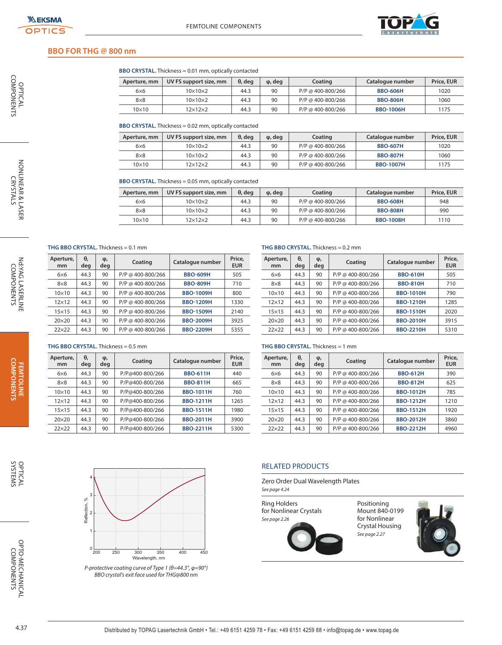OPTICAL<br>COMPONENTS

NONLINEAR & LASER<br>CRYSTALS

Nd:YAG LASERLINE<br>COMPONENTS



# **BBO FOR THG @ 800 nm**

**BBO CRYSTAL.** Thickness = 0.01 mm, optically contacted

| Aperture, mm | UV FS support size, mm | θ, dea | $\varphi$ , deg | Coating           | Catalogue number | Price, EUR |
|--------------|------------------------|--------|-----------------|-------------------|------------------|------------|
| $6\times 6$  | $10\times10\times2$    | 44.3   | 90              | P/P @ 400-800/266 | <b>BBO-606H</b>  | 1020       |
| $8\times8$   | $10\times10\times2$    | 44.3   | 90              | P/P @ 400-800/266 | <b>BBO-806H</b>  | 1060       |
| 10×10        | 12×12×2                | 44.3   | 90              | P/P @ 400-800/266 | <b>BBO-1006H</b> | 1175       |

**BBO CRYSTAL.** Thickness = 0.02 mm, optically contacted

| Aperture, mm | UV FS support size, mm | $\theta$ , deg | $\varphi$ , deg | Coating           | Catalogue number | Price, EUR |
|--------------|------------------------|----------------|-----------------|-------------------|------------------|------------|
| $6\times 6$  | $10\times10\times2$    | 44.3           | 90              | P/P @ 400-800/266 | <b>BBO-607H</b>  | 1020       |
| $8\times8$   | $10\times10\times2$    | 44.3           | 90              | P/P @ 400-800/266 | <b>BBO-807H</b>  | 1060       |
| 10×10        | 12×12×2                | 44.3           | 90              | P/P @ 400-800/266 | <b>BBO-1007H</b> | 1175       |

**BBO CRYSTAL.** Thickness = 0.05 mm, optically contacted

| Aperture, mm | UV FS support size, mm | $\theta$ , deg | $\varphi$ , deg | Coating           | Catalogue number | Price, EUR |
|--------------|------------------------|----------------|-----------------|-------------------|------------------|------------|
| $6\times 6$  | $10\times10\times2$    | 44.3           | 90              | P/P @ 400-800/266 | <b>BBO-608H</b>  | 948        |
| $8\times8$   | $10\times10\times2$    | 44.3           | 90              | P/P @ 400-800/266 | <b>BBO-808H</b>  | 990        |
| 10×10        | 12×12×2                | 44.3           | 90              | P/P @ 400-800/266 | <b>BBO-1008H</b> | 1110       |

**THG BBO CRYSTAL.** Thickness = 0.1 mm

| Aperture,<br>mm | θ,<br>deg | φ,<br>deg | Coating           | Catalogue number | Price,<br><b>EUR</b> |
|-----------------|-----------|-----------|-------------------|------------------|----------------------|
| 6x6             | 44.3      | 90        | P/P @ 400-800/266 | <b>BBO-609H</b>  | 505                  |
| $8\times8$      | 44.3      | 90        | P/P @ 400-800/266 | <b>BBO-809H</b>  | 710                  |
| $10\times10$    | 44.3      | 90        | P/P @ 400-800/266 | <b>BBO-1009H</b> | 800                  |
| $12\times12$    | 44.3      | 90        | P/P @ 400-800/266 | <b>BBO-1209H</b> | 1330                 |
| $15\times15$    | 44.3      | 90        | P/P @ 400-800/266 | <b>BBO-1509H</b> | 2140                 |
| $20\times20$    | 44.3      | 90        | P/P @ 400-800/266 | <b>BBO-2009H</b> | 3925                 |
| $22\times22$    | 44.3      | 90        | P/P @ 400-800/266 | <b>BBO-2209H</b> | 5355                 |

#### **THG BBO CRYSTAL.** Thickness = 0.2 mm

| Aperture,<br>mm | θ.<br>deg | φ,<br>deg | Coating           | Catalogue number | Price,<br><b>EUR</b> |
|-----------------|-----------|-----------|-------------------|------------------|----------------------|
| 6x6             | 44.3      | 90        | P/P @ 400-800/266 | <b>BBO-610H</b>  | 505                  |
| $8\times8$      | 44.3      | 90        | P/P @ 400-800/266 | <b>BBO-810H</b>  | 710                  |
| $10\times10$    | 44.3      | 90        | P/P @ 400-800/266 | <b>BBO-1010H</b> | 790                  |
| $12\times12$    | 44.3      | 90        | P/P @ 400-800/266 | <b>BBO-1210H</b> | 1285                 |
| $15\times15$    | 44.3      | 90        | P/P @ 400-800/266 | <b>BBO-1510H</b> | 2020                 |
| $20\times20$    | 44.3      | 90        | P/P @ 400-800/266 | <b>BBO-2010H</b> | 3915                 |
| $22\times22$    | 44.3      | 90        | P/P @ 400-800/266 | <b>BBO-2210H</b> | 5310                 |

#### **THG BBO CRYSTAL.** Thickness = 0.5 mm

| Aperture,<br>mm | θ,<br>deg | φ,<br>deg | Coating         | Catalogue number | Price,<br><b>EUR</b> |
|-----------------|-----------|-----------|-----------------|------------------|----------------------|
| 6x6             | 44.3      | 90        | P/P@400-800/266 | <b>BBO-611H</b>  | 440                  |
| $8\times8$      | 44.3      | 90        | P/P@400-800/266 | <b>BBO-811H</b>  | 665                  |
| $10\times10$    | 44.3      | 90        | P/P@400-800/266 | <b>BBO-1011H</b> | 760                  |
| $12\times12$    | 44.3      | 90        | P/P@400-800/266 | <b>BBO-1211H</b> | 1265                 |
| $15\times15$    | 44.3      | 90        | P/P@400-800/266 | <b>BBO-1511H</b> | 1980                 |
| $20\times20$    | 44.3      | 90        | P/P@400-800/266 | <b>BBO-2011H</b> | 3900                 |
| $22\times22$    | 44.3      | 90        | P/P@400-800/266 | <b>BBO-2211H</b> | 5300                 |

#### **THG BBO CRYSTAL.** Thickness = 1 mm

| Aperture,<br>mm | θ.<br>deg | φ,<br>deg | Coating           | Catalogue number | Price,<br><b>EUR</b> |
|-----------------|-----------|-----------|-------------------|------------------|----------------------|
| 6x6             | 44.3      | 90        | P/P @ 400-800/266 | <b>BBO-612H</b>  | 390                  |
| $8\times8$      | 44.3      | 90        | P/P @ 400-800/266 | <b>BBO-812H</b>  | 625                  |
| $10\times10$    | 44.3      | 90        | P/P @ 400-800/266 | <b>BBO-1012H</b> | 785                  |
| $12\times12$    | 44.3      | 90        | P/P @ 400-800/266 | <b>BBO-1212H</b> | 1210                 |
| $15\times15$    | 44.3      | 90        | P/P @ 400-800/266 | <b>BBO-1512H</b> | 1920                 |
| $20\times20$    | 44.3      | 90        | P/P @ 400-800/266 | <b>BBO-2012H</b> | 3860                 |
| $22\times22$    | 44.3      | 90        | P/P @ 400-800/266 | <b>BBO-2212H</b> | 4960                 |

**COMPONENTS FEMTOLINE** 



P-protective coating curve of Type 1 ( $\theta$ =44.3°,  $\varphi$ =90°) BBO crystal's exit face used for THG@800 nm

#### RELATED PRODUCTS

Zero Order Dual Wavelength Plates See page 4.24

Ring Holders for Nonlinear Crystals See page 2.26



Positioning Mount 840-0199 for Nonlinear Crystal Housing See page 2.27



OPTO-MECHANICAL<br>COMPONENTS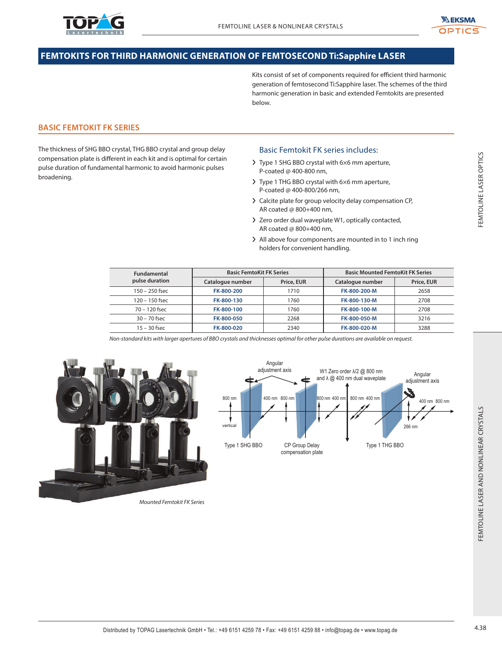



# **FEMTOKITS FOR THIRD HARMONIC GENERATION OF FEMTOSECOND Ti:Sapphire LASER**

Kits consist of set of components required for efficient third harmonic generation of femtosecond Ti:Sapphire laser. The schemes of the third harmonic generation in basic and extended Femtokits are presented below.

# **BASIC FEMTOKIT FK SERIES**

The thickness of SHG BBO crystal, THG BBO crystal and group delay compensation plate is different in each kit and is optimal for certain pulse duration of fundamental harmonic to avoid harmonic pulses broadening.

# Basic Femtokit FK series includes:

- ❯ Type 1 SHG BBO crystal with 6×6 mm aperture, P-coated @ 400-800 nm,
- ❯ Type 1 THG BBO crystal with 6×6 mm aperture, P-coated @ 400-800/266 nm,
- ❯ Calcite plate for group velocity delay compensation CP, AR coated @ 800+400 nm,
- ❯ Zero order dual waveplate W1, optically contacted, AR coated @ 800+400 nm,
- > All above four components are mounted in to 1 inch ring holders for convenient handling.

| Fundamental      | <b>Basic FemtoKit FK Series</b> |            | <b>Basic Mounted FemtoKit FK Series</b> |            |  |
|------------------|---------------------------------|------------|-----------------------------------------|------------|--|
| pulse duration   | Catalogue number                | Price, EUR | Catalogue number                        | Price, EUR |  |
| $150 - 250$ fsec | FK-800-200                      | 1710       | FK-800-200-M                            | 2658       |  |
| $120 - 150$ fsec | FK-800-130                      | 1760       | FK-800-130-M                            | 2708       |  |
| $70 - 120$ fsec  | FK-800-100                      | 1760       | FK-800-100-M                            | 2708       |  |
| $30 - 70$ fsec   | FK-800-050                      | 2268       | FK-800-050-M                            | 3216       |  |
| $15 - 30$ fsec   | FK-800-020                      | 2340       | FK-800-020-M                            | 3288       |  |

Non-standard kits with larger apertures of BBO crystals and thicknesses optimal for other pulse durations are available on request.





Mounted Femtokit FK Series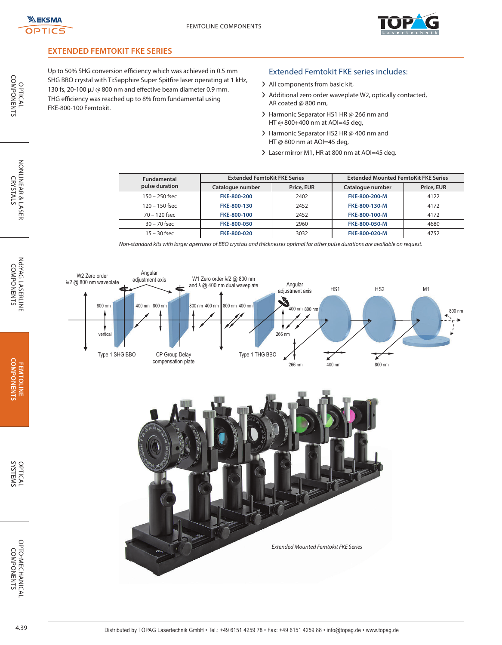

# **EXTENDED FEMTOKIT FKE SERIES**

Up to 50% SHG conversion efficiency which was achieved in 0.5 mm SHG BBO crystal with Ti:Sapphire Super Spitfire laser operating at 1 kHz, 130 fs, 20-100 µJ @ 800 nm and effective beam diameter 0.9 mm. THG efficiency was reached up to 8% from fundamental using FKE-800-100 Femtokit.

## Extended Femtokit FKE series includes:

- > All components from basic kit,
- > Additional zero order waveplate W2, optically contacted, AR coated @ 800 nm,
- > Harmonic Separator HS1 HR @ 266 nm and HT @ 800+400 nm at AOI=45 deg,
- > Harmonic Separator HS2 HR @ 400 nm and HT @ 800 nm at AOI=45 deg,
- > Laser mirror M1, HR at 800 nm at AOI=45 deg.

| <b>Fundamental</b> | <b>Extended FemtoKit FKE Series</b> |            | <b>Extended Mounted FemtoKit FKE Series</b> |            |  |
|--------------------|-------------------------------------|------------|---------------------------------------------|------------|--|
| pulse duration     | Catalogue number                    | Price, EUR | Catalogue number                            | Price, EUR |  |
| $150 - 250$ fsec   | FKE-800-200                         | 2402       | FKE-800-200-M                               | 4122       |  |
| $120 - 150$ fsec   | FKE-800-130                         | 2452       | FKE-800-130-M                               | 4172       |  |
| $70 - 120$ fsec    | FKE-800-100                         | 2452       | FKE-800-100-M                               | 4172       |  |
| $30 - 70$ fsec     | FKE-800-050                         | 2960       | FKE-800-050-M                               | 4680       |  |
| $15 - 30$ fsec     | FKE-800-020                         | 3032       | FKE-800-020-M                               | 4752       |  |

Non-standard kits with larger apertures of BBO crystals and thicknesses optimal for other pulse durations are available on request.



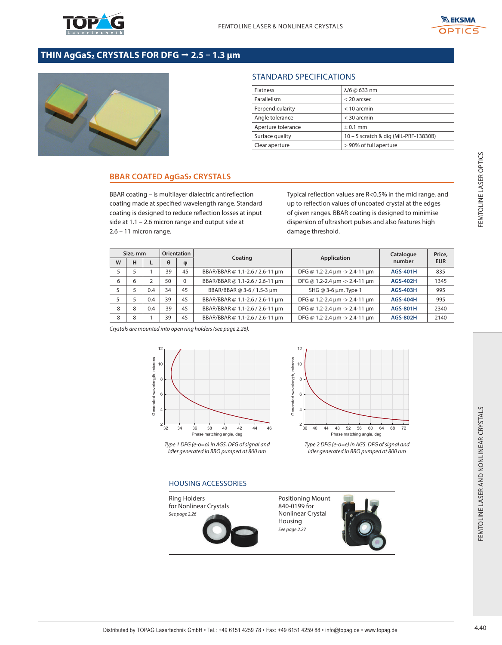

# THIN AgGaS2 CRYSTALS FOR DFG → 2.5 - 1.3 µm



# STANDARD SPECIFICATIONS

| <b>Flatness</b>    | $\lambda$ /6 @ 633 nm                 |
|--------------------|---------------------------------------|
| Parallelism        | $<$ 20 arcsec                         |
| Perpendicularity   | $<$ 10 arcmin                         |
| Angle tolerance    | $<$ 30 arcmin                         |
| Aperture tolerance | $± 0.1$ mm                            |
| Surface quality    | 10 - 5 scratch & dig (MIL-PRF-13830B) |
| Clear aperture     | > 90% of full aperture                |

# **BBAR COATED AgGaS2 CRYSTALS**

|   | $2.6 - 11$ micron range. |                               |                                |                                 | BBAR coating - is multilayer dialectric antireflection<br>coating made at specified wavelength range. Standard<br>coating is designed to reduce reflection losses at input<br>side at 1.1 - 2.6 micron range and output side at | Typical reflection values are R<0.5% in the mid range, and<br>up to reflection values of uncoated crystal at the edges<br>of given ranges. BBAR coating is designed to minimise<br>dispersion of ultrashort pulses and also features high<br>damage threshold. |                     |                      |
|---|--------------------------|-------------------------------|--------------------------------|---------------------------------|---------------------------------------------------------------------------------------------------------------------------------------------------------------------------------------------------------------------------------|----------------------------------------------------------------------------------------------------------------------------------------------------------------------------------------------------------------------------------------------------------------|---------------------|----------------------|
| W | Size, mm<br>н            | L                             | Orientation<br>$\theta$        | φ                               | Coating                                                                                                                                                                                                                         | <b>Application</b>                                                                                                                                                                                                                                             | Catalogue<br>number | Price,<br><b>EUR</b> |
| 5 | 5                        | $\mathbf{1}$                  | 39                             | 45                              | BBAR/BBAR @ 1.1-2.6 / 2.6-11 µm                                                                                                                                                                                                 | DFG @ 1.2-2.4 µm -> 2.4-11 µm                                                                                                                                                                                                                                  | <b>AGS-401H</b>     | 835                  |
| 6 | 6                        | $\overline{2}$                | 50                             | 0                               | BBAR/BBAR @ 1.1-2.6 / 2.6-11 μm                                                                                                                                                                                                 | DFG @ 1.2-2.4 $\mu$ m -> 2.4-11 $\mu$ m                                                                                                                                                                                                                        | <b>AGS-402H</b>     | 1345                 |
| 5 | 5                        | 0.4                           | 34                             | 45                              | BBAR/BBAR @ 3-6 / 1.5-3 μm                                                                                                                                                                                                      | SHG @ 3-6 µm, Type 1                                                                                                                                                                                                                                           | <b>AGS-403H</b>     | 995                  |
| 5 | 5                        | 0.4                           | 39                             | 45                              | BBAR/BBAR @ 1.1-2.6 / 2.6-11 μm                                                                                                                                                                                                 | DFG @ 1.2-2.4 $\mu$ m -> 2.4-11 $\mu$ m                                                                                                                                                                                                                        | <b>AGS-404H</b>     | 995                  |
| 8 | 8                        | 0.4                           | 39                             | 45                              | BBAR/BBAR @ 1.1-2.6 / 2.6-11 μm                                                                                                                                                                                                 | DFG @ 1.2-2.4 $\mu$ m -> 2.4-11 $\mu$ m                                                                                                                                                                                                                        | <b>AGS-801H</b>     | 2340                 |
| 8 | 8                        | $\mathbf{1}$                  | 39                             | 45                              | BBAR/BBAR @ 1.1-2.6 / 2.6-11 μm                                                                                                                                                                                                 | DFG @ 1.2-2.4 µm -> 2.4-11 µm                                                                                                                                                                                                                                  | <b>AGS-802H</b>     | 2140                 |
|   |                          | Generated wavelength, microns | 10<br>8<br>6<br>$\mathfrak{p}$ |                                 |                                                                                                                                                                                                                                 | Generated wavelength, microns<br>10<br>8<br>6<br>$\overline{\phantom{a}}$                                                                                                                                                                                      |                     |                      |
|   |                          |                               | 32                             | 34<br>36<br><b>Ring Holders</b> | 38<br>40<br>42<br>44<br>46<br>Phase matching angle, deg<br>Type 1 DFG (e-o=o) in AGS. DFG of signal and<br>idler generated in BBO pumped at 800 nm<br><b>HOUSING ACCESSORIES</b>                                                | 36<br>40<br>44<br>48<br>52<br>56<br>60<br>64<br>Phase matching angle, deg<br>Type 2 DFG (e-o=e) in AGS. DFG of signal and<br>idler generated in BBO pumped at 800 nm<br><b>Positioning Mount</b>                                                               | 68<br>72            |                      |





#### HOUSING ACCESSORIES



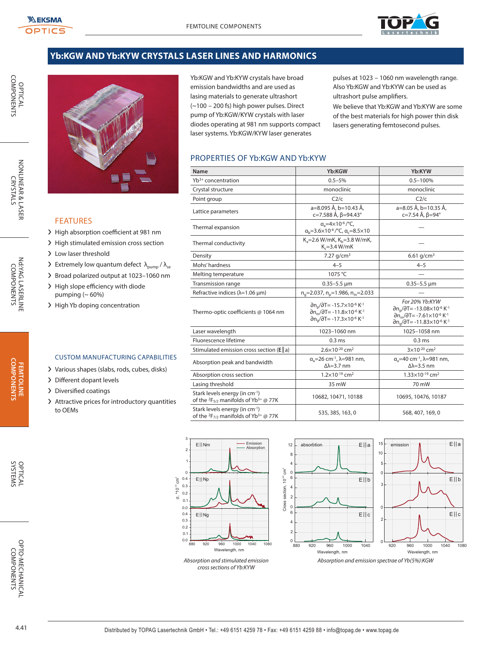

# **Yb:KGW AND Yb:KYW CRYSTALS LASER LINES AND HARMONICS**



FEATURES

- > High absorption coefficient at 981 nm
- > High stimulated emission cross section
- > Low laser threshold

> Different dopant levels > Diversified coatings

to OEMs

- $\sum$  Extremely low quantum defect  $\lambda_{\text{pump}} / \lambda_{\text{se}}$
- ❯ Broad polarized output at 1023–1060 nm

CUSTOM MANUFACTURING CAPABILITIES ❯ Various shapes (slabs, rods, cubes, disks)

❯ Attractive prices for introductory quantities

- > High slope efficiency with diode pumping  $(~60%)$
- > High Yb doping concentration

| Absorption and stimulated emission | Absorptic |
|------------------------------------|-----------|
| cross sections of Yb:KYW           |           |
|                                    |           |
|                                    |           |

pulses at 1023 – 1060 nm wavelength range. Also Yb:KGW and Yb:KYW can be used as ultrashort pulse amplifiers.

We believe that Yb:KGW and Yb:KYW are some of the best materials for high power thin disk lasers generating femtosecond pulses.

# PROPERTIES OF Yb:KGW AND Yb:KYW

Yb:KGW and Yb:KYW crystals have broad emission bandwidths and are used as lasing materials to generate ultrashort (~100 – 200 fs) high power pulses. Direct pump of Yb:KGW/KYW crystals with laser diodes operating at 981 nm supports compact laser systems. Yb:KGW/KYW laser generates

| Name                                                                                                     | Yb:KGW                                                                                                                                                                                                                                                   | Yb:KYW                                                                                                                                                                                                                                                                       |
|----------------------------------------------------------------------------------------------------------|----------------------------------------------------------------------------------------------------------------------------------------------------------------------------------------------------------------------------------------------------------|------------------------------------------------------------------------------------------------------------------------------------------------------------------------------------------------------------------------------------------------------------------------------|
| Yb <sup>3+</sup> concentration                                                                           | $0.5 - 5%$                                                                                                                                                                                                                                               | $0.5 - 100%$                                                                                                                                                                                                                                                                 |
| Crystal structure                                                                                        | monoclinic                                                                                                                                                                                                                                               | monoclinic                                                                                                                                                                                                                                                                   |
| Point group                                                                                              | C2/c                                                                                                                                                                                                                                                     | C2/c                                                                                                                                                                                                                                                                         |
| Lattice parameters                                                                                       | a=8.095 Å, b=10.43 Å,<br>c=7.588 Å, β=94.43°                                                                                                                                                                                                             | a=8.05 Å, b=10.35 Å,<br>c=7.54 Å, β=94°                                                                                                                                                                                                                                      |
| Thermal expansion                                                                                        | $\alpha$ <sub>s</sub> =4×10 <sup>-6</sup> /°C,<br>$a_b = 3.6 \times 10^{-6}$ / °C, $a_c = 8.5 \times 10$                                                                                                                                                 |                                                                                                                                                                                                                                                                              |
| Thermal conductivity                                                                                     | $K_a = 2.6$ W/mK, $K_b = 3.8$ W/mK,<br>$K = 3.4 W/mK$                                                                                                                                                                                                    |                                                                                                                                                                                                                                                                              |
| Density                                                                                                  | 7.27 $q/cm^3$                                                                                                                                                                                                                                            | 6.61 $q/cm^3$                                                                                                                                                                                                                                                                |
| Mohs' hardness                                                                                           | $4 - 5$                                                                                                                                                                                                                                                  | $4 - 5$                                                                                                                                                                                                                                                                      |
| Melting temperature                                                                                      | 1075 °C                                                                                                                                                                                                                                                  |                                                                                                                                                                                                                                                                              |
| <b>Transmission range</b>                                                                                | $0.35 - 5.5 \,\mu m$                                                                                                                                                                                                                                     | $0.35 - 5.5 \,\mu m$                                                                                                                                                                                                                                                         |
| Refractive indices ( $\lambda$ =1.06 µm)                                                                 | $n_e$ =2.037, $n_e$ =1.986, $n_m$ =2.033                                                                                                                                                                                                                 |                                                                                                                                                                                                                                                                              |
| Thermo-optic coefficients @ 1064 nm                                                                      | $\partial$ n <sub>n</sub> / $\partial$ T= -15.7×10 <sup>-6</sup> K <sup>-1</sup><br>$\partial$ n <sub>m</sub> / $\partial$ T= -11.8×10 <sup>-6</sup> K <sup>-1</sup><br>$\partial$ n <sub>a</sub> / $\partial$ T= -17.3×10 <sup>-6</sup> K <sup>-1</sup> | For 20% Yb:KYW<br>$\partial$ n <sub>n</sub> / $\partial$ T= -13.08×10 <sup>-6</sup> K <sup>-1</sup><br>$\partial$ n <sub>m</sub> / $\partial$ T= -7.61×10 <sup>-6</sup> K <sup>-1</sup><br>$\partial$ n <sub>a</sub> / $\partial$ T= -11.83×10 <sup>-6</sup> K <sup>-1</sup> |
| Laser wavelength                                                                                         | 1023-1060 nm                                                                                                                                                                                                                                             | 1025-1058 nm                                                                                                                                                                                                                                                                 |
| Fluorescence lifetime                                                                                    | 0.3 <sub>ms</sub>                                                                                                                                                                                                                                        | 0.3 <sub>ms</sub>                                                                                                                                                                                                                                                            |
| Stimulated emission cross section ( $E  a$ )                                                             | $2.6 \times 10^{-20}$ cm <sup>2</sup>                                                                                                                                                                                                                    | $3\times10^{-20}$ cm <sup>2</sup>                                                                                                                                                                                                                                            |
| Absorption peak and bandwidth                                                                            | $\alpha_{\rm s}$ =26 cm <sup>-1</sup> , $\lambda$ =981 nm,<br>$\Delta\lambda = 3.7$ nm                                                                                                                                                                   | $\alpha_{\rm a}$ =40 cm <sup>-1</sup> , $\lambda$ =981 nm,<br>$\Delta\lambda = 3.5$ nm                                                                                                                                                                                       |
| Absorption cross section                                                                                 | $1.2\times10^{-19}$ cm <sup>2</sup>                                                                                                                                                                                                                      | $1.33\times10^{-19}$ cm <sup>2</sup>                                                                                                                                                                                                                                         |
| Lasing threshold                                                                                         | 35 mW                                                                                                                                                                                                                                                    | 70 mW                                                                                                                                                                                                                                                                        |
| Stark levels energy (in cm <sup>-1</sup> )<br>of the $2F_{5/2}$ manifolds of Yb <sup>3+</sup> @ 77K      | 10682, 10471, 10188                                                                                                                                                                                                                                      | 10695, 10476, 10187                                                                                                                                                                                                                                                          |
| Stark levels energy (in cm <sup>-1</sup> )<br>of the ${}^{2}F_{7/2}$ manifolds of Yb <sup>3+</sup> @ 77K | 535, 385, 163, 0                                                                                                                                                                                                                                         | 568, 407, 169, 0                                                                                                                                                                                                                                                             |



**FEMTOLINE** 

0.0 0.1 0.2 0.3 0.4

σ, \*10 $19$  cm<sup>2</sup>

E|| Nm

E|| Np

E|| Ng

0.0 0.1 0.2 0.3 0.4

Nd:YAG LASERLINE<br>COMPONENTS

OPTICAL<br>COMPONENTS